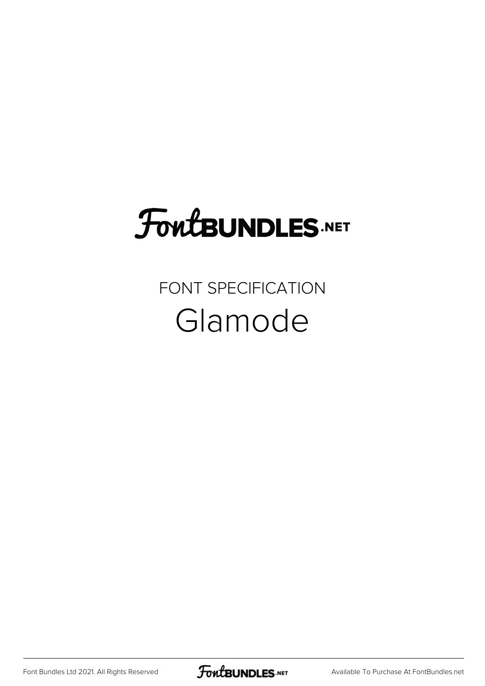# **FoutBUNDLES.NET**

### FONT SPECIFICATION Glamode

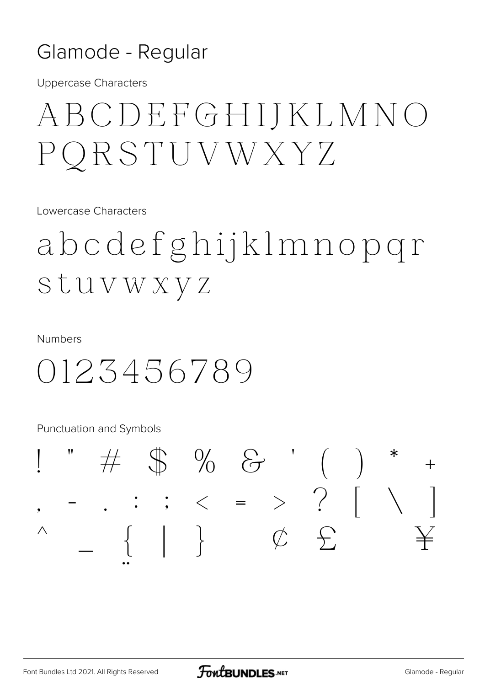#### Glamode - Regular

**Uppercase Characters** 

## ABCDEFGHIJKLMNO PORSTUVWXYZ

Lowercase Characters

abcdefghijklmnopgr Stuvwxyz

**Numbers** 

0123456789

**Punctuation and Symbols** 

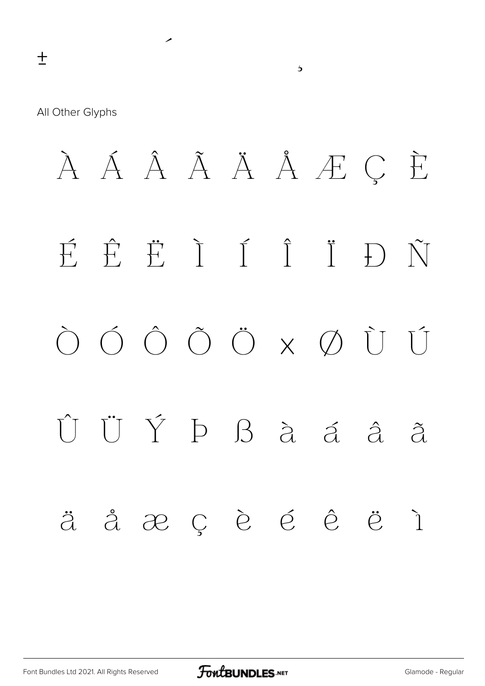All Other Glyphs

À Á Â Ã Ä Å Æ Ç È  $\overrightarrow{H}$   $\overrightarrow{H}$   $\overrightarrow{I}$   $\overrightarrow{I}$   $\overrightarrow{I}$  $\bigcap$   $\tilde{\bigvee}$  $\begin{array}{ccc} \bigcirc & \bigcirc & \bigcirc & \bigcirc & \bigcirc & \times & \bigcirc & \bigcirc & \bigcirc \end{array}$ Û Ü Ý Þ ß à á â  $\tilde{\partial}$ äåæçèéê ë ì

 $\overline{\mathbf{b}}$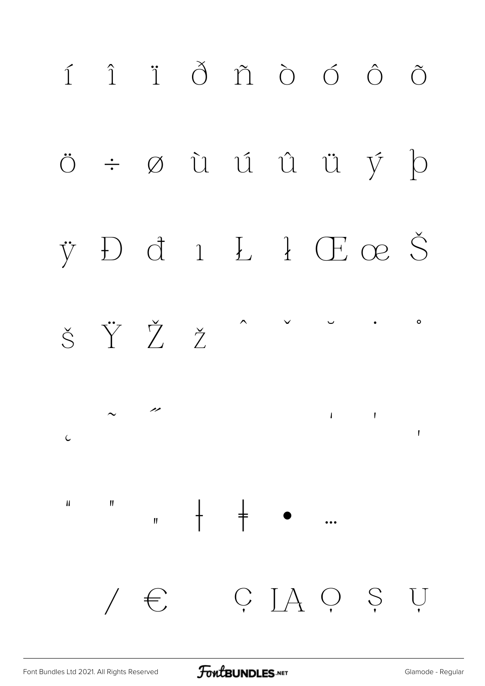